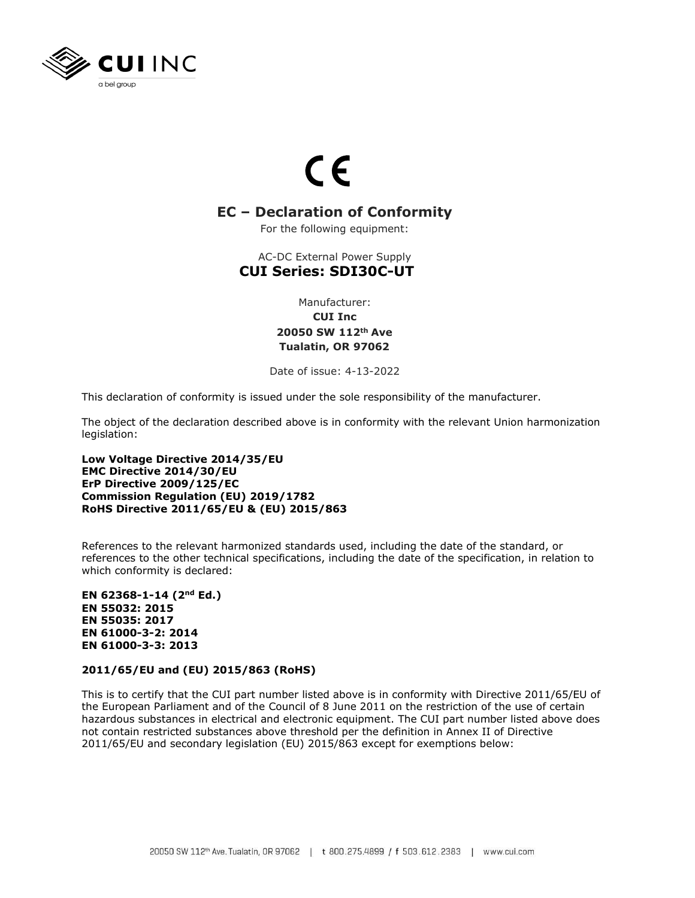

## $\epsilon$

## **EC – Declaration of Conformity**

For the following equipment:

AC-DC External Power Supply **CUI Series: SDI30C-UT**

> Manufacturer: **CUI Inc 20050 SW 112th Ave Tualatin, OR 97062**

Date of issue: 4-13-2022

This declaration of conformity is issued under the sole responsibility of the manufacturer.

The object of the declaration described above is in conformity with the relevant Union harmonization legislation:

**Low Voltage Directive 2014/35/EU EMC Directive 2014/30/EU ErP Directive 2009/125/EC Commission Regulation (EU) 2019/1782 RoHS Directive 2011/65/EU & (EU) 2015/863**

References to the relevant harmonized standards used, including the date of the standard, or references to the other technical specifications, including the date of the specification, in relation to which conformity is declared:

**EN 62368-1-14 (2nd Ed.) EN 55032: 2015 EN 55035: 2017 EN 61000-3-2: 2014 EN 61000-3-3: 2013**

## **2011/65/EU and (EU) 2015/863 (RoHS)**

This is to certify that the CUI part number listed above is in conformity with Directive 2011/65/EU of the European Parliament and of the Council of 8 June 2011 on the restriction of the use of certain hazardous substances in electrical and electronic equipment. The CUI part number listed above does not contain restricted substances above threshold per the definition in Annex II of Directive 2011/65/EU and secondary legislation (EU) 2015/863 except for exemptions below: